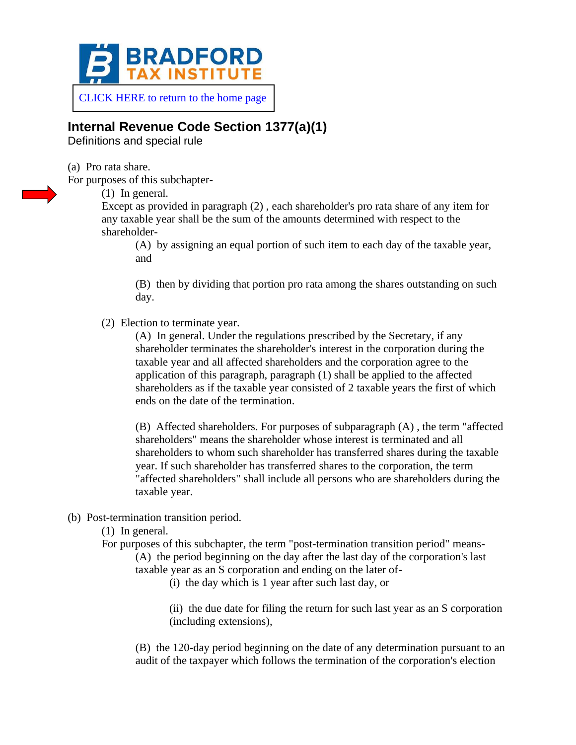

[CLICK HERE to return to the home page](https://www.bradfordtaxinstitute.com)

## **Internal Revenue Code Section 1377(a)(1)**

Definitions and special rule

(a) Pro rata share.

For purposes of this subchapter-

(1) In general.

Except as provided in paragraph (2) , each shareholder's pro rata share of any item for any taxable year shall be the sum of the amounts determined with respect to the shareholder-

(A) by assigning an equal portion of such item to each day of the taxable year, and

(B) then by dividing that portion pro rata among the shares outstanding on such day.

(2) Election to terminate year.

(A) In general. Under the regulations prescribed by the Secretary, if any shareholder terminates the shareholder's interest in the corporation during the taxable year and all affected shareholders and the corporation agree to the application of this paragraph, paragraph (1) shall be applied to the affected shareholders as if the taxable year consisted of 2 taxable years the first of which ends on the date of the termination.

(B) Affected shareholders. For purposes of subparagraph (A) , the term "affected shareholders" means the shareholder whose interest is terminated and all shareholders to whom such shareholder has transferred shares during the taxable year. If such shareholder has transferred shares to the corporation, the term "affected shareholders" shall include all persons who are shareholders during the taxable year.

- (b) Post-termination transition period.
	- (1) In general.
	- For purposes of this subchapter, the term "post-termination transition period" means- (A) the period beginning on the day after the last day of the corporation's last taxable year as an S corporation and ending on the later of-

(i) the day which is 1 year after such last day, or

(ii) the due date for filing the return for such last year as an S corporation (including extensions),

(B) the 120-day period beginning on the date of any determination pursuant to an audit of the taxpayer which follows the termination of the corporation's election